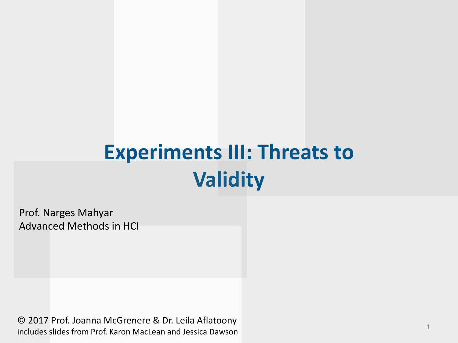#### **Experiments III: Threats to Validity**

Prof. Narges Mahyar Advanced Methods in HCI

© 2017 Prof. Joanna McGrenere & Dr. Leila Aflatoony includes slides from Prof. Karon MacLean and Jessica Dawson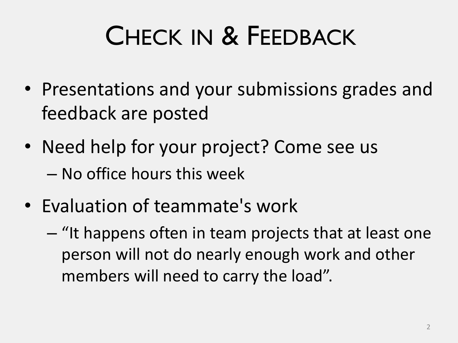# CHECK IN & FEEDBACK

- Presentations and your submissions grades and feedback are posted
- Need help for your project? Come see us – No office hours this week
- Evaluation of teammate's work
	- "It happens often in team projects that at least one person will not do nearly enough work and other members will need to carry the load".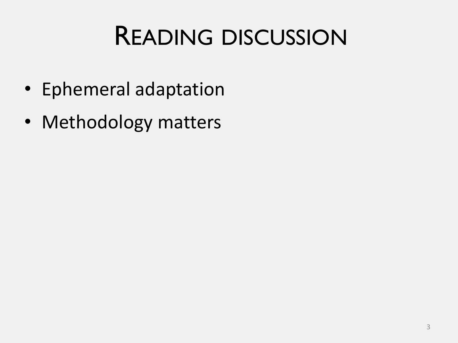#### READING DISCUSSION

- Ephemeral adaptation
- Methodology matters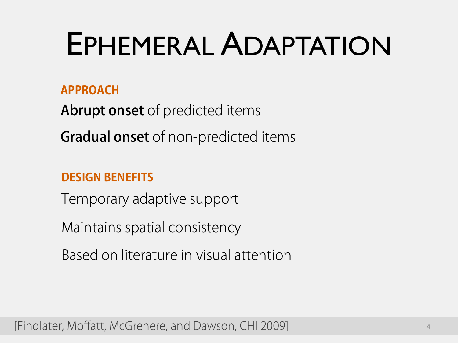# EPHEMERAL ADAPTATION

#### **APPROACH**

Abrupt onset of predicted items

Gradual onset of non-predicted items

#### **DESIGN BENEFITS**

Temporary adaptive support

Maintains spatial consistency

Based on literature in visual attention

[Findlater, Moffatt, McGrenere, and Dawson, CHI 2009] <sup>4</sup>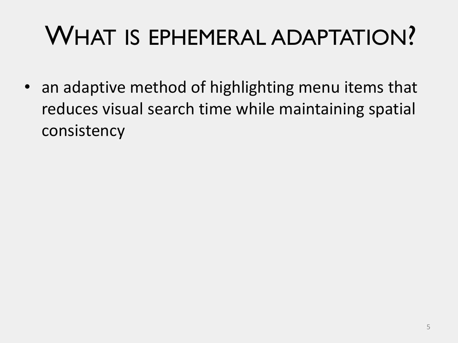#### WHAT IS EPHEMERAL ADAPTATION?

• an adaptive method of highlighting menu items that reduces visual search time while maintaining spatial consistency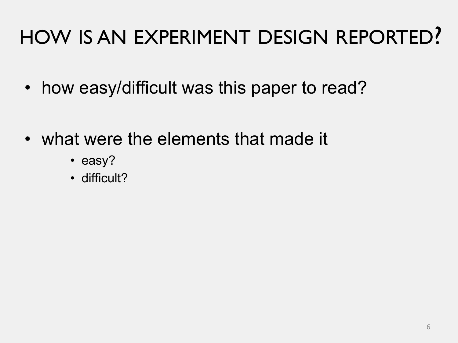#### HOW IS AN EXPERIMENT DESIGN REPORTED?

- how easy/difficult was this paper to read?
- what were the elements that made it
	- easy?
	- difficult?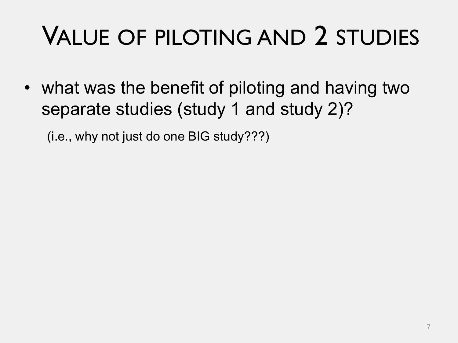# VALUE OF PILOTING AND 2 STUDIES

• what was the benefit of piloting and having two separate studies (study 1 and study 2)?

(i.e., why not just do one BIG study???)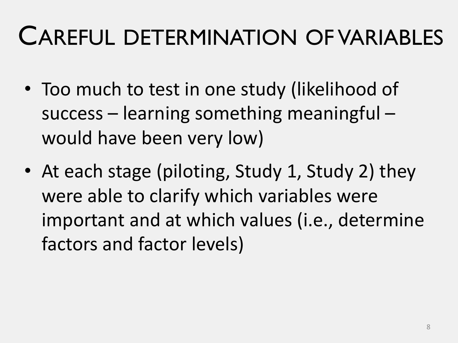#### CAREFUL DETERMINATION OF VARIABLES

- Too much to test in one study (likelihood of success – learning something meaningful – would have been very low)
- At each stage (piloting, Study 1, Study 2) they were able to clarify which variables were important and at which values (i.e., determine factors and factor levels)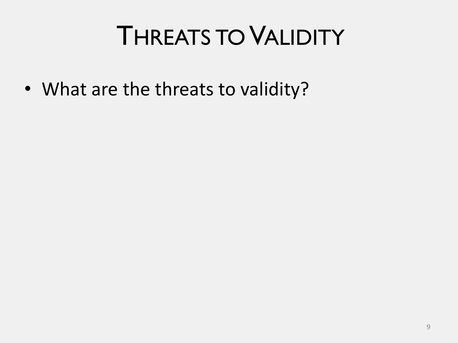#### THREATS TO VALIDITY

• What are the threats to validity?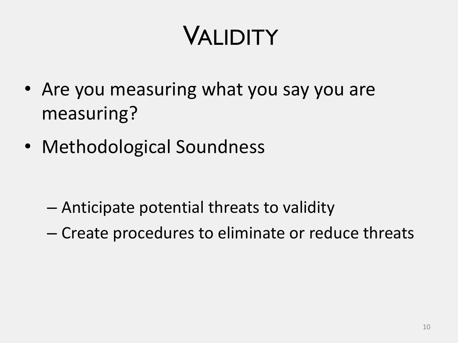### VALIDITY

- Are you measuring what you say you are measuring?
- Methodological Soundness

- Anticipate potential threats to validity
- Create procedures to eliminate or reduce threats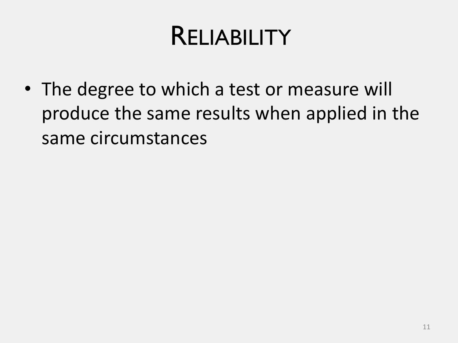#### RELIABILITY

• The degree to which a test or measure will produce the same results when applied in the same circumstances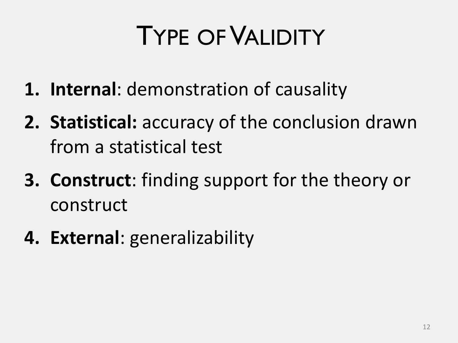### TYPE OFVALIDITY

- **1. Internal**: demonstration of causality
- **2. Statistical:** accuracy of the conclusion drawn from a statistical test
- **3. Construct**: finding support for the theory or construct
- **4. External**: generalizability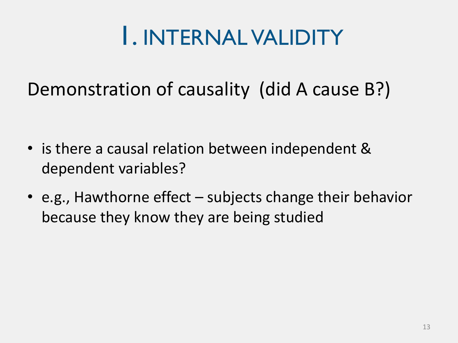#### 1. INTERNAL VALIDITY

#### Demonstration of causality (did A cause B?)

- is there a causal relation between independent & dependent variables?
- e.g., Hawthorne effect subjects change their behavior because they know they are being studied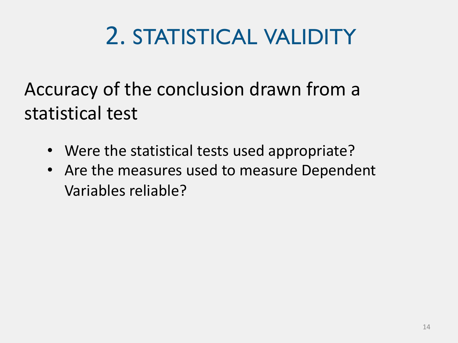#### 2. STATISTICAL VALIDITY

Accuracy of the conclusion drawn from a statistical test

- Were the statistical tests used appropriate?
- Are the measures used to measure Dependent Variables reliable?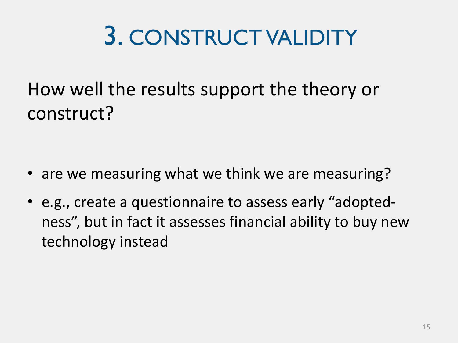#### 3. CONSTRUCT VALIDITY

How well the results support the theory or construct?

- are we measuring what we think we are measuring?
- e.g., create a questionnaire to assess early "adoptedness", but in fact it assesses financial ability to buy new technology instead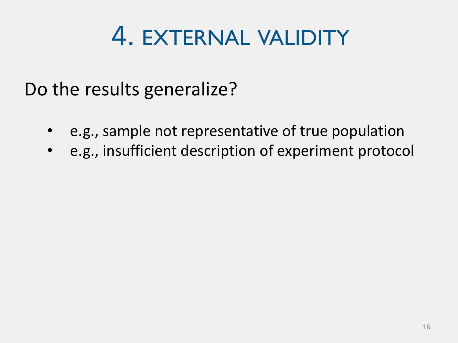#### 4. EXTERNAL VALIDITY

Do the results generalize?

- e.g., sample not representative of true population
- e.g., insufficient description of experiment protocol